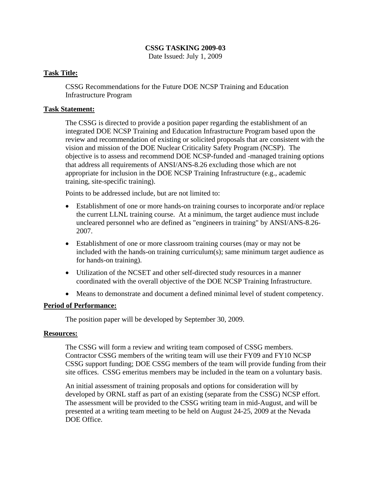# **CSSG TASKING 2009-03**

Date Issued: July 1, 2009

## **Task Title:**

CSSG Recommendations for the Future DOE NCSP Training and Education Infrastructure Program

### **Task Statement:**

The CSSG is directed to provide a position paper regarding the establishment of an integrated DOE NCSP Training and Education Infrastructure Program based upon the review and recommendation of existing or solicited proposals that are consistent with the vision and mission of the DOE Nuclear Criticality Safety Program (NCSP). The objective is to assess and recommend DOE NCSP-funded and -managed training options that address all requirements of ANSI/ANS-8.26 excluding those which are not appropriate for inclusion in the DOE NCSP Training Infrastructure (e.g., academic training, site-specific training).

Points to be addressed include, but are not limited to:

- Establishment of one or more hands-on training courses to incorporate and/or replace the current LLNL training course. At a minimum, the target audience must include uncleared personnel who are defined as "engineers in training" by ANSI/ANS-8.26- 2007.
- Establishment of one or more classroom training courses (may or may not be included with the hands-on training curriculum(s); same minimum target audience as for hands-on training).
- Utilization of the NCSET and other self-directed study resources in a manner coordinated with the overall objective of the DOE NCSP Training Infrastructure.
- Means to demonstrate and document a defined minimal level of student competency.

### **Period of Performance:**

The position paper will be developed by September 30, 2009.

#### **Resources:**

The CSSG will form a review and writing team composed of CSSG members. Contractor CSSG members of the writing team will use their FY09 and FY10 NCSP CSSG support funding; DOE CSSG members of the team will provide funding from their site offices. CSSG emeritus members may be included in the team on a voluntary basis.

An initial assessment of training proposals and options for consideration will by developed by ORNL staff as part of an existing (separate from the CSSG) NCSP effort. The assessment will be provided to the CSSG writing team in mid-August, and will be presented at a writing team meeting to be held on August 24-25, 2009 at the Nevada DOE Office.